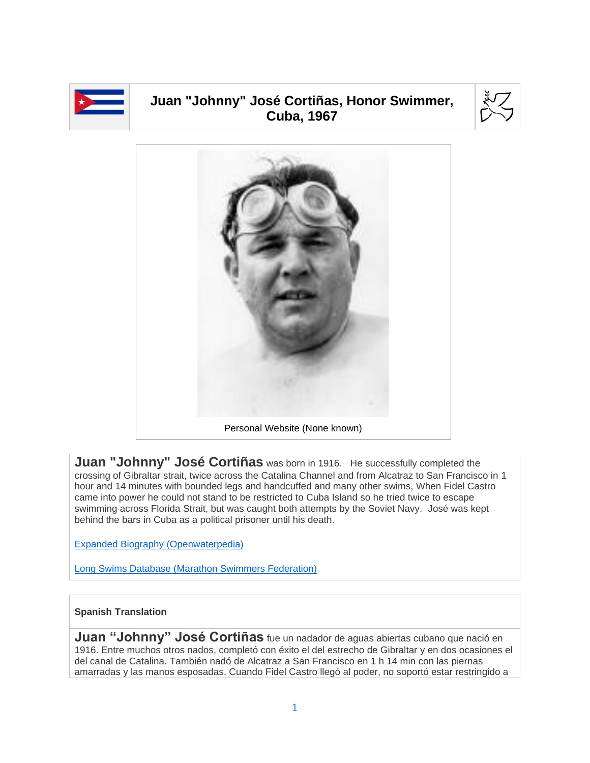

## **Juan "Johnny" José Cortiñas, Honor Swimmer, Cuba, 1967**





**Juan "Johnny" José Cortiñas** was born in 1916. He successfully completed the crossing of Gibraltar strait, twice across the Catalina Channel and from Alcatraz to San Francisco in 1 hour and 14 minutes with bounded legs and handcuffed and many other swims, When Fidel Castro came into power he could not stand to be restricted to Cuba Island so he tried twice to escape swimming across Florida Strait, but was caught both attempts by the Soviet Navy. José was kept behind the bars in Cuba as a political prisoner until his death.

[Expanded Biography](https://www.openwaterpedia.com/index.php?title=Juan_(Johnny)_Jos%C3%A9_Corti%C3%B1as) (Openwaterpedia)

Long Swims Database [\(Marathon Swimmers Federation\)](https://db.marathonswimmers.org/p/jose-cortinas/)

## **Spanish Translation**

**Juan "Johnny" José Cortiñas** fue un nadador de aguas abiertas cubano que nació en 1916. Entre muchos otros nados, completó con éxito el del estrecho de Gibraltar y en dos ocasiones el del canal de Catalina. También nadó de Alcatraz a San Francisco en 1 h 14 min con las piernas amarradas y las manos esposadas. Cuando Fidel Castro llegó al poder, no soportó estar restringido a